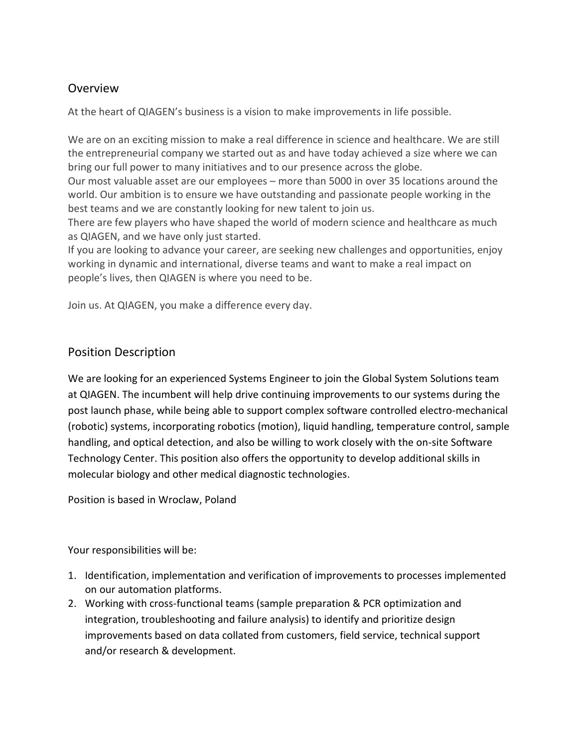## Overview

At the heart of QIAGEN's business is a vision to make improvements in life possible.

We are on an exciting mission to make a real difference in science and healthcare. We are still the entrepreneurial company we started out as and have today achieved a size where we can bring our full power to many initiatives and to our presence across the globe.

Our most valuable asset are our employees – more than 5000 in over 35 locations around the world. Our ambition is to ensure we have outstanding and passionate people working in the best teams and we are constantly looking for new talent to join us.

There are few players who have shaped the world of modern science and healthcare as much as QIAGEN, and we have only just started.

If you are looking to advance your career, are seeking new challenges and opportunities, enjoy working in dynamic and international, diverse teams and want to make a real impact on people's lives, then QIAGEN is where you need to be.

Join us. At QIAGEN, you make a difference every day.

## Position Description

We are looking for an experienced Systems Engineer to join the Global System Solutions team at QIAGEN. The incumbent will help drive continuing improvements to our systems during the post launch phase, while being able to support complex software controlled electro-mechanical (robotic) systems, incorporating robotics (motion), liquid handling, temperature control, sample handling, and optical detection, and also be willing to work closely with the on-site Software Technology Center. This position also offers the opportunity to develop additional skills in molecular biology and other medical diagnostic technologies.

Position is based in Wroclaw, Poland

Your responsibilities will be:

- 1. Identification, implementation and verification of improvements to processes implemented on our automation platforms.
- 2. Working with cross-functional teams (sample preparation & PCR optimization and integration, troubleshooting and failure analysis) to identify and prioritize design improvements based on data collated from customers, field service, technical support and/or research & development.